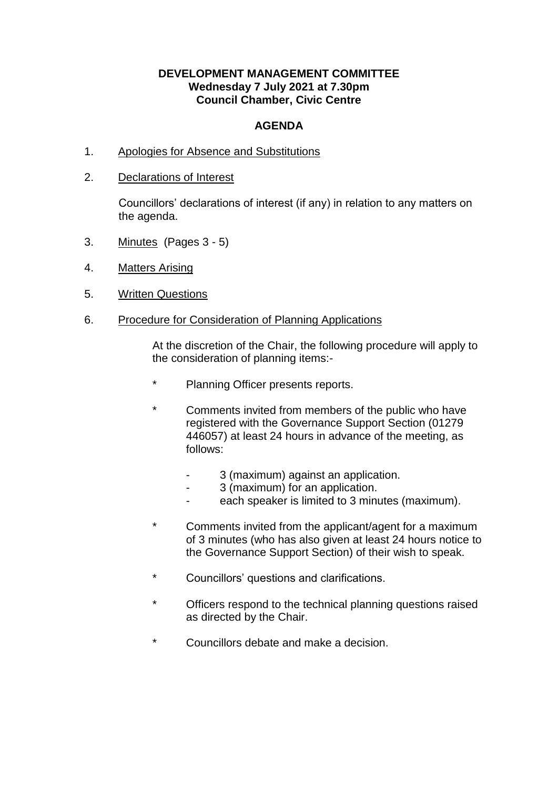## **DEVELOPMENT MANAGEMENT COMMITTEE Wednesday 7 July 2021 at 7.30pm Council Chamber, Civic Centre**

## **AGENDA**

- 1. Apologies for Absence and Substitutions
- 2. Declarations of Interest

Councillors' declarations of interest (if any) in relation to any matters on the agenda.

- 3. Minutes (Pages 3 5)
- 4. Matters Arising
- 5. Written Questions
- 6. Procedure for Consideration of Planning Applications

At the discretion of the Chair, the following procedure will apply to the consideration of planning items:-

- \* Planning Officer presents reports.
- Comments invited from members of the public who have registered with the Governance Support Section (01279 446057) at least 24 hours in advance of the meeting, as follows:
	- 3 (maximum) against an application.
	- 3 (maximum) for an application.
	- each speaker is limited to 3 minutes (maximum).
- \* Comments invited from the applicant/agent for a maximum of 3 minutes (who has also given at least 24 hours notice to the Governance Support Section) of their wish to speak.
- \* Councillors' questions and clarifications.
- \* Officers respond to the technical planning questions raised as directed by the Chair.
- \* Councillors debate and make a decision.